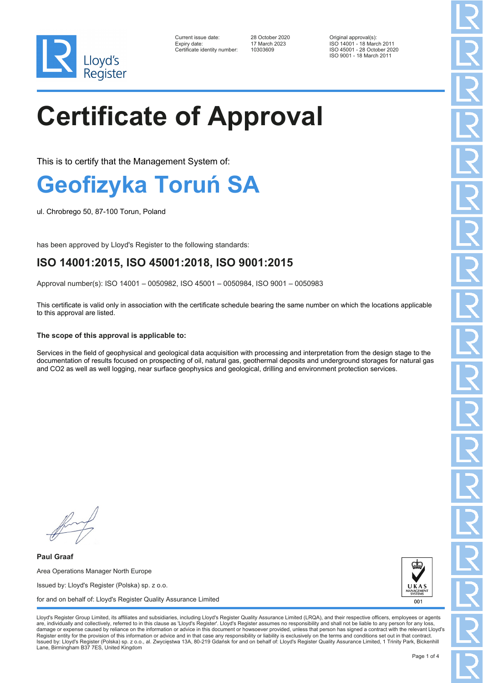

| Current issue date:         |  |
|-----------------------------|--|
| Expiry date:                |  |
| Certificate identity number |  |

10303609

Current issue date: 28 October 2020 Original approval(s): Expiry date: 17 March 2023 ISO 14001 - 18 March 2011 ISO 45001 - 28 October 2020 ISO 9001 - 18 March 2011

# **Certificate of Approval**

This is to certify that the Management System of:

### **Geofizyka Toruń SA**

ul. Chrobrego 50, 87-100 Torun, Poland

has been approved by Lloyd's Register to the following standards:

### **ISO 14001:2015, ISO 45001:2018, ISO 9001:2015**

Approval number(s): ISO 14001 – 0050982, ISO 45001 – 0050984, ISO 9001 – 0050983

This certificate is valid only in association with the certificate schedule bearing the same number on which the locations applicable to this approval are listed.

#### **The scope of this approval is applicable to:**

Services in the field of geophysical and geological data acquisition with processing and interpretation from the design stage to the documentation of results focused on prospecting of oil, natural gas, geothermal deposits and underground storages for natural gas and CO2 as well as well logging, near surface geophysics and geological, drilling and environment protection services.

**Paul Graaf** Area Operations Manager North Europe Issued by: Lloyd's Register (Polska) sp. z o.o. for and on behalf of: Lloyd's Register Quality Assurance Limited



Lloyd's Register Group Limited, its affiliates and subsidiaries, including Lloyd's Register Quality Assurance Limited (LRQA), and their respective officers, employees or agents are, individually and collectively, referred to in this clause as 'Lloyd's Register'. Lloyd's Register assumes no responsibility and shall not be liable to any person for any los damage or expense caused by reliance on the information or advice in this document or howsoever provided, unless that person has signed a contract with the relevant Lloyd's<br>Register entity for the provision of this informa Issued by: Lloyd's Register (Polska) sp. z o.o., al. Zwycięstwa 13A, 80-219 Gdańsk for and on behalf of: Lloyd's Register Quality Assurance Limited, 1 Trinity Park, Bickenhill Lane, Birmingham B37 7ES, United Kingdom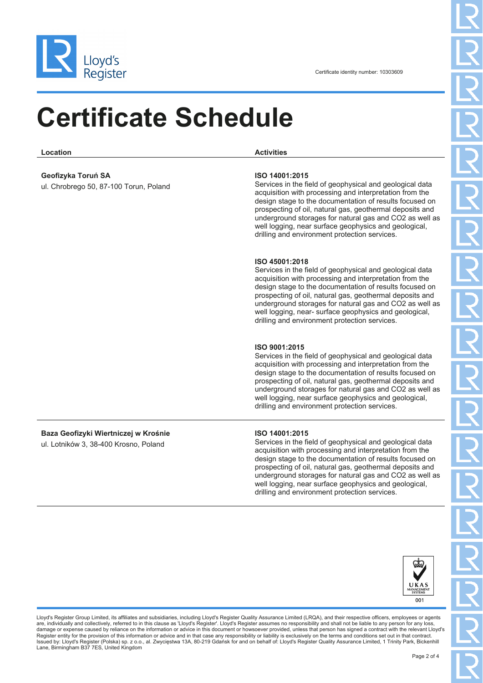

## **Certificate Schedule**

**Location Activities**

#### **Geofizyka Toruń SA**

ul. Chrobrego 50, 87-100 Torun, Poland

#### **ISO 14001:2015**

Services in the field of geophysical and geological data acquisition with processing and interpretation from the design stage to the documentation of results focused on prospecting of oil, natural gas, geothermal deposits and underground storages for natural gas and CO2 as well as well logging, near surface geophysics and geological, drilling and environment protection services.

#### **ISO 45001:2018**

Services in the field of geophysical and geological data acquisition with processing and interpretation from the design stage to the documentation of results focused on prospecting of oil, natural gas, geothermal deposits and underground storages for natural gas and CO2 as well as well logging, near- surface geophysics and geological, drilling and environment protection services.

#### **ISO 9001:2015**

Services in the field of geophysical and geological data acquisition with processing and interpretation from the design stage to the documentation of results focused on prospecting of oil, natural gas, geothermal deposits and underground storages for natural gas and CO2 as well as well logging, near surface geophysics and geological, drilling and environment protection services.

### **Baza Geofizyki Wiertniczej w Krośnie**

ul. Lotników 3, 38-400 Krosno, Poland

#### **ISO 14001:2015**

Services in the field of geophysical and geological data acquisition with processing and interpretation from the design stage to the documentation of results focused on prospecting of oil, natural gas, geothermal deposits and underground storages for natural gas and CO2 as well as well logging, near surface geophysics and geological, drilling and environment protection services.



Lloyd's Register Group Limited, its affiliates and subsidiaries, including Lloyd's Register Quality Assurance Limited (LRQA), and their respective officers, employees or agents are, individually and collectively, referred to in this clause as 'Lloyd's Register'. Lloyd's Register assumes no responsibility and shall not be liable to any person for any los damage or expense caused by reliance on the information or advice in this document or howsoever provided, unless that person has signed a contract with the relevant Lloyd's<br>Register entity for the provision of this informa Issued by: Lloyd's Register (Polska) sp. z o.o., al. Zwycięstwa 13A, 80-219 Gdańsk for and on behalf of: Lloyd's Register Quality Assurance Limited, 1 Trinity Park, Bickenhill Lane, Birmingham B37 7ES, United Kingdom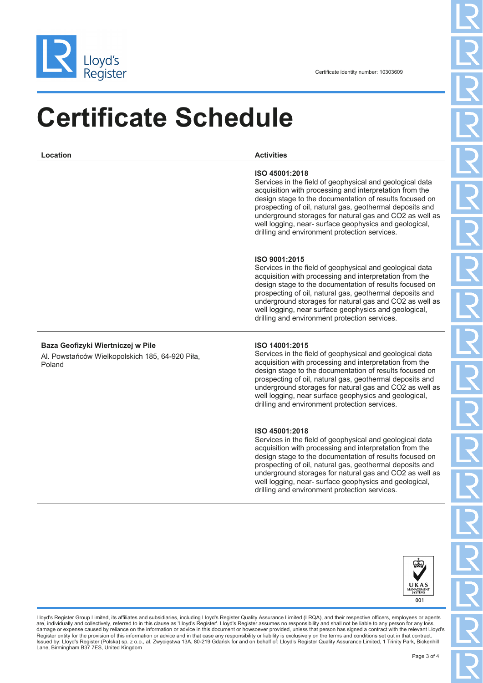

## **Certificate Schedule**

| Location                                                                                       | <b>Activities</b>                                                                                                                                                                                                                                                                                                                                                                                                                  |  |  |  |
|------------------------------------------------------------------------------------------------|------------------------------------------------------------------------------------------------------------------------------------------------------------------------------------------------------------------------------------------------------------------------------------------------------------------------------------------------------------------------------------------------------------------------------------|--|--|--|
|                                                                                                | ISO 45001:2018<br>Services in the field of geophysical and geological data<br>acquisition with processing and interpretation from the<br>design stage to the documentation of results focused on<br>prospecting of oil, natural gas, geothermal deposits and<br>underground storages for natural gas and CO2 as well as<br>well logging, near- surface geophysics and geological,<br>drilling and environment protection services. |  |  |  |
|                                                                                                | ISO 9001:2015<br>Services in the field of geophysical and geological data<br>acquisition with processing and interpretation from the<br>design stage to the documentation of results focused on<br>prospecting of oil, natural gas, geothermal deposits and<br>underground storages for natural gas and CO2 as well as<br>well logging, near surface geophysics and geological,<br>drilling and environment protection services.   |  |  |  |
| Baza Geofizyki Wiertniczej w Pile<br>Al. Powstańców Wielkopolskich 185, 64-920 Piła,<br>Poland | ISO 14001:2015<br>Services in the field of geophysical and geological data<br>acquisition with processing and interpretation from the<br>design stage to the documentation of results focused on<br>prospecting of oil, natural gas, geothermal deposits and<br>underground storages for natural gas and CO2 as well as<br>well logging, near surface geophysics and geological,<br>drilling and environment protection services.  |  |  |  |
|                                                                                                | ISO 45001:2018<br>Services in the field of geophysical and geological data<br>acquisition with processing and interpretation from the<br>design stage to the documentation of results focused on<br>prospecting of oil, natural gas, geothermal deposits and<br>underground storages for natural gas and CO2 as well as<br>well logging, near- surface geophysics and geological,<br>drilling and environment protection services. |  |  |  |
|                                                                                                |                                                                                                                                                                                                                                                                                                                                                                                                                                    |  |  |  |



Lloyd's Register Group Limited, its affiliates and subsidiaries, including Lloyd's Register Quality Assurance Limited (LRQA), and their respective officers, employees or agents are, individually and collectively, referred to in this clause as 'Lloyd's Register'. Lloyd's Register assumes no responsibility and shall not be liable to any person for any loss,<br>damage or expense caused by reliance on t Issued by: Lloyd's Register (Polska) sp. z o.o., al. Zwycięstwa 13A, 80-219 Gdańsk for and on behalf of: Lloyd's Register Quality Assurance Limited, 1 Trinity Park, Bickenhill<br>Lane, Birmingham B37 7ES, United Kingdom